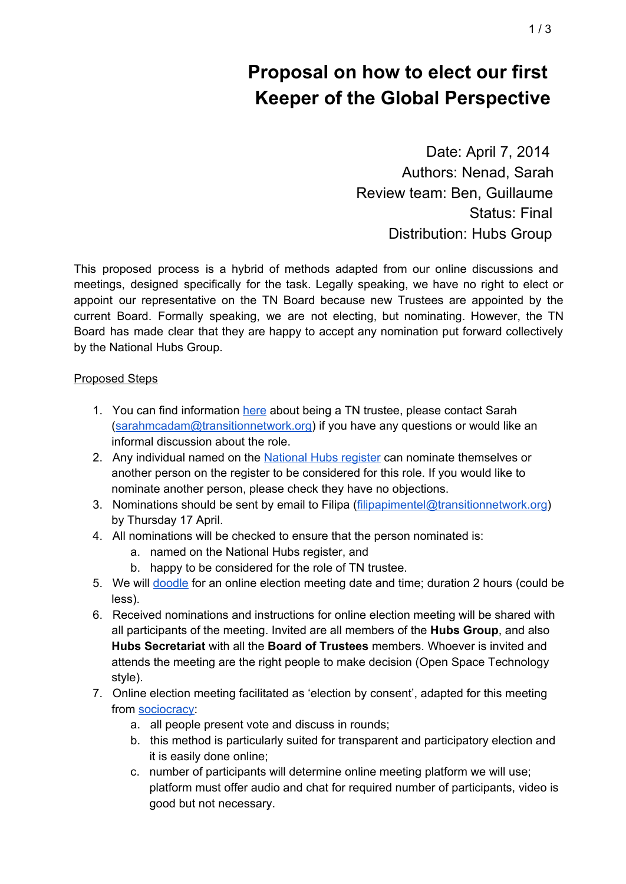Date: April 7, 2014 Authors: Nenad, Sarah Review team: Ben, Guillaume Status: Final Distribution: Hubs Group

This proposed process is a hybrid of methods adapted from our online discussions and meetings, designed specifically for the task. Legally speaking, we have no right to elect or appoint our representative on the TN Board because new Trustees are appointed by the current Board. Formally speaking, we are not electing, but nominating. However, the TN Board has made clear that they are happy to accept any nomination put forward collectively by the National Hubs Group.

### Proposed Steps

- 1. You can find information [here](http://www.google.com/url?q=http%3A%2F%2Fwww.transitionnetwork.org%2Fnews%2F2014-03-05%2Fyour-opportunity-become-trustee-transition-network&sa=D&sntz=1&usg=AFQjCNE-l0LxI8hO49RB7MrNh8FPCpShUQ) about being a TN trustee, please contact Sarah [\(sarahmcadam@transitionnetwork.org\)](mailto:sarahmcadam@transitionnetwork.org) if you have any questions or would like an informal discussion about the role.
- 2. Any individual named on the [National](https://docs.google.com/spreadsheet/ccc?key=0AnamxuxIdVmvdGg0YVdhb2dVdWVMYnp1OVl6Rk9zNWc&usp=sharing) Hubs register can nominate themselves or another person on the register to be considered for this role. If you would like to nominate another person, please check they have no objections.
- 3. Nominations should be sent by email to Filipa [\(filipapimentel@transitionnetwork.org\)](mailto:filipapimentel@transitionnetwork.org) by Thursday 17 April.
- 4. All nominations will be checked to ensure that the person nominated is:
	- a. named on the National Hubs register, and
	- b. happy to be considered for the role of TN trustee.
- 5. We will [doodle](http://www.google.com/url?q=http%3A%2F%2Fdoodle.com%2Fwxwua3qvhyxce36g&sa=D&sntz=1&usg=AFQjCNEtECSSLLl0-7x5l-ZJSLkt9GmtvA) for an online election meeting date and time; duration 2 hours (could be less).
- 6. Received nominations and instructions for online election meeting will be shared with all participants of the meeting. Invited are all members of the **Hubs Group**, and also **Hubs Secretariat** with all the **Board of Trustees** members. Whoever is invited and attends the meeting are the right people to make decision (Open Space Technology style).
- 7. Online election meeting facilitated as 'election by consent', adapted for this meeting from [sociocracy:](http://www.google.com/url?q=http%3A%2F%2Fen.wikipedia.org%2Fwiki%2FSociocracy&sa=D&sntz=1&usg=AFQjCNFo35SAnK5igt6t9_oxj96LKkkAgQ)
	- a. all people present vote and discuss in rounds;
	- b. this method is particularly suited for transparent and participatory election and it is easily done online;
	- c. number of participants will determine online meeting platform we will use; platform must offer audio and chat for required number of participants, video is good but not necessary.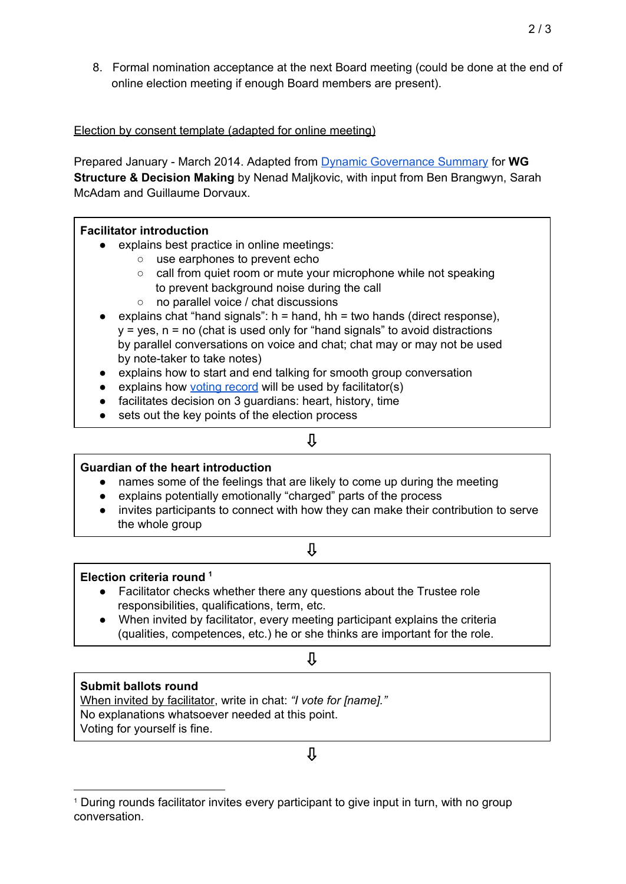8. Formal nomination acceptance at the next Board meeting (could be done at the end of online election meeting if enough Board members are present).

Election by consent template (adapted for online meeting)

Prepared January March 2014. Adapted from Dynamic [Governance](https://drive.google.com/file/d/0B_Hrb1BJvsDRXzctRGRac3YtMnM/edit?usp=sharing) Summary for **WG Structure & Decision Making** by Nenad Maljkovic, with input from Ben Brangwyn, Sarah McAdam and Guillaume Dorvaux.

### **Facilitator introduction**

- explains best practice in online meetings:
	- use earphones to prevent echo
	- call from quiet room or mute your microphone while not speaking to prevent background noise during the call
	- no parallel voice / chat discussions
- explains chat "hand signals":  $h =$  hand,  $hh =$  two hands (direct response),  $y = yes$ ,  $n = no$  (chat is used only for "hand signals" to avoid distractions by parallel conversations on voice and chat; chat may or may not be used by note-taker to take notes)
- explains how to start and end talking for smooth group conversation
- explains how voting [record](http://goo.gl/Qw4aFu) will be used by facilitator(s)
- facilitates decision on 3 guardians: heart, history, time
- sets out the key points of the election process

## ⇩

## **Guardian of the heart introduction**

- names some of the feelings that are likely to come up during the meeting
- explains potentially emotionally "charged" parts of the process
- invites participants to connect with how they can make their contribution to serve the whole group

## ⇩

## **Election criteria round 1**

- Facilitator checks whether there any questions about the Trustee role responsibilities, qualifications, term, etc.
- When invited by facilitator, every meeting participant explains the criteria (qualities, competences, etc.) he or she thinks are important for the role.

### ⇩

## **Submit ballots round**

When invited by facilitator, write in chat: *"I vote for [name]."* No explanations whatsoever needed at this point. Voting for yourself is fine.

# ⇩

<sup>&</sup>lt;sup>1</sup> During rounds facilitator invites every participant to give input in turn, with no group conversation.